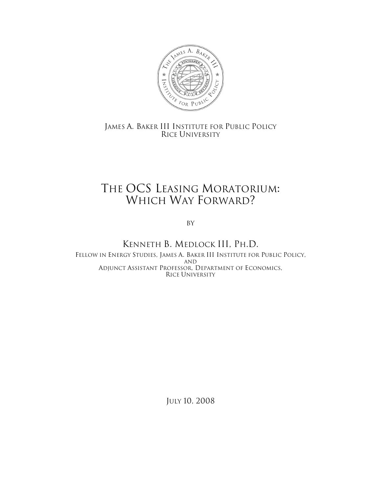

## JAMES A. BAKER III INSTITUTE FOR PUBLIC POLICY RICE UNIVERSITY

# THE OCS LEASING MORATORIUM: WHICH WAY FORWARD?

By

### KENNETH B. MEDLOCK III, PH.D. FELLOW IN ENERGY STUDIES, JAMES A. BAKER III INSTITUTE FOR PUBLIC POLICY, AND ADJUNCT ASSISTANT PROFESSOR, DEPARTMENT OF ECONOMICS, RICE UNIVERSITY

JULY 10, 2008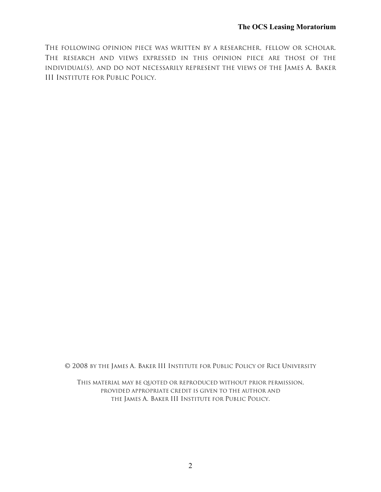THE FOLLOWING OPINION PIECE WAS WRITTEN BY A RESEARCHER, FELLOW OR SCHOLAR. THE RESEARCH AND VIEWS EXPRESSED IN THIS OPINION PIECE ARE THOSE OF THE INDIVIDUAL(S), AND DO NOT NECESSARILY REPRESENT THE VIEWS OF THE JAMES A. BAKER III INSTITUTE FOR PUBLIC POLICY.

© 2008 BY THE JAMES A. BAKER III INSTITUTE FOR PUBLIC POLICY OF RICE UNIVERSITY

THIS MATERIAL MAY BE QUOTED OR REPRODUCED WITHOUT PRIOR PERMISSION, PROVIDED APPROPRIATE CREDIT IS GIVEN TO THE AUTHOR AND THE JAMES A. BAKER III INSTITUTE FOR PUBLIC POLICY.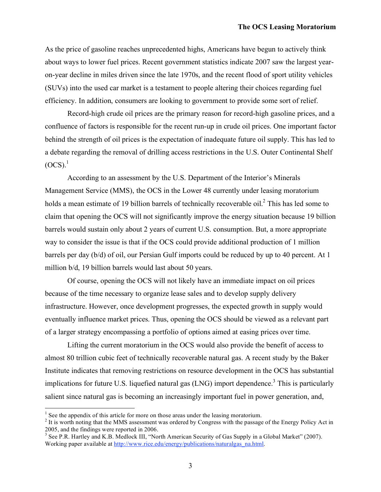As the price of gasoline reaches unprecedented highs, Americans have begun to actively think about ways to lower fuel prices. Recent government statistics indicate 2007 saw the largest yearon-year decline in miles driven since the late 1970s, and the recent flood of sport utility vehicles (SUVs) into the used car market is a testament to people altering their choices regarding fuel efficiency. In addition, consumers are looking to government to provide some sort of relief.

Record-high crude oil prices are the primary reason for record-high gasoline prices, and a confluence of factors is responsible for the recent run-up in crude oil prices. One important factor behind the strength of oil prices is the expectation of inadequate future oil supply. This has led to a debate regarding the removal of drilling access restrictions in the U.S. Outer Continental Shelf  $(OCS).<sup>1</sup>$ 

According to an assessment by the U.S. Department of the Interior's Minerals Management Service (MMS), the OCS in the Lower 48 currently under leasing moratorium holds a mean estimate of 19 billion barrels of technically recoverable oil.<sup>2</sup> This has led some to claim that opening the OCS will not significantly improve the energy situation because 19 billion barrels would sustain only about 2 years of current U.S. consumption. But, a more appropriate way to consider the issue is that if the OCS could provide additional production of 1 million barrels per day (b/d) of oil, our Persian Gulf imports could be reduced by up to 40 percent. At 1 million b/d, 19 billion barrels would last about 50 years.

Of course, opening the OCS will not likely have an immediate impact on oil prices because of the time necessary to organize lease sales and to develop supply delivery infrastructure. However, once development progresses, the expected growth in supply would eventually influence market prices. Thus, opening the OCS should be viewed as a relevant part of a larger strategy encompassing a portfolio of options aimed at easing prices over time.

Lifting the current moratorium in the OCS would also provide the benefit of access to almost 80 trillion cubic feet of technically recoverable natural gas. A recent study by the Baker Institute indicates that removing restrictions on resource development in the OCS has substantial implications for future U.S. liquefied natural gas (LNG) import dependence.<sup>3</sup> This is particularly salient since natural gas is becoming an increasingly important fuel in power generation, and,

<sup>&</sup>lt;sup>1</sup> See the appendix of this article for more on those areas under the leasing moratorium.<br><sup>2</sup> It is worth noting that the MMS assessment was ordered by Congress with the passage of the Energy Policy Act in 2005, and the

<sup>&</sup>lt;sup>2005</sup>, and the finality and K.B. Medlock III, "North American Security of Gas Supply in a Global Market" (2007). Working paper available at http://www.rice.edu/energy/publications/naturalgas\_na.html.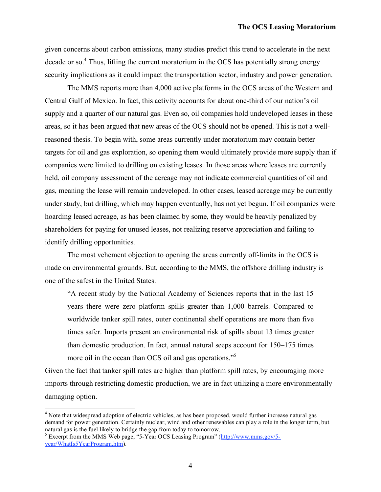given concerns about carbon emissions, many studies predict this trend to accelerate in the next decade or so.<sup>4</sup> Thus, lifting the current moratorium in the OCS has potentially strong energy security implications as it could impact the transportation sector, industry and power generation.

The MMS reports more than 4,000 active platforms in the OCS areas of the Western and Central Gulf of Mexico. In fact, this activity accounts for about one-third of our nation's oil supply and a quarter of our natural gas. Even so, oil companies hold undeveloped leases in these areas, so it has been argued that new areas of the OCS should not be opened. This is not a wellreasoned thesis. To begin with, some areas currently under moratorium may contain better targets for oil and gas exploration, so opening them would ultimately provide more supply than if companies were limited to drilling on existing leases. In those areas where leases are currently held, oil company assessment of the acreage may not indicate commercial quantities of oil and gas, meaning the lease will remain undeveloped. In other cases, leased acreage may be currently under study, but drilling, which may happen eventually, has not yet begun. If oil companies were hoarding leased acreage, as has been claimed by some, they would be heavily penalized by shareholders for paying for unused leases, not realizing reserve appreciation and failing to identify drilling opportunities.

The most vehement objection to opening the areas currently off-limits in the OCS is made on environmental grounds. But, according to the MMS, the offshore drilling industry is one of the safest in the United States.

"A recent study by the National Academy of Sciences reports that in the last 15 years there were zero platform spills greater than 1,000 barrels. Compared to worldwide tanker spill rates, outer continental shelf operations are more than five times safer. Imports present an environmental risk of spills about 13 times greater than domestic production. In fact, annual natural seeps account for 150–175 times more oil in the ocean than OCS oil and gas operations."<sup>5</sup>

Given the fact that tanker spill rates are higher than platform spill rates, by encouraging more imports through restricting domestic production, we are in fact utilizing a more environmentally damaging option.

<sup>&</sup>lt;sup>4</sup> Note that widespread adoption of electric vehicles, as has been proposed, would further increase natural gas demand for power generation. Certainly nuclear, wind and other renewables can play a role in the longer term, but natural gas is the fuel likely to bridge the gap from today to tomorrow.<br><sup>5</sup> Excerpt from the MMS Web page, "5-Year OCS Leasing Program" (http://www.mms.gov/5-

year/WhatIs5YearProgram.htm).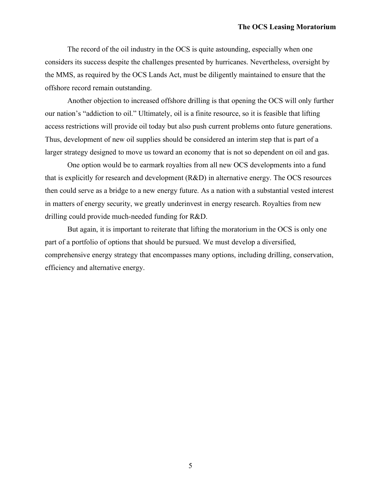The record of the oil industry in the OCS is quite astounding, especially when one considers its success despite the challenges presented by hurricanes. Nevertheless, oversight by the MMS, as required by the OCS Lands Act, must be diligently maintained to ensure that the offshore record remain outstanding.

Another objection to increased offshore drilling is that opening the OCS will only further our nation's "addiction to oil." Ultimately, oil is a finite resource, so it is feasible that lifting access restrictions will provide oil today but also push current problems onto future generations. Thus, development of new oil supplies should be considered an interim step that is part of a larger strategy designed to move us toward an economy that is not so dependent on oil and gas.

One option would be to earmark royalties from all new OCS developments into a fund that is explicitly for research and development (R&D) in alternative energy. The OCS resources then could serve as a bridge to a new energy future. As a nation with a substantial vested interest in matters of energy security, we greatly underinvest in energy research. Royalties from new drilling could provide much-needed funding for R&D.

But again, it is important to reiterate that lifting the moratorium in the OCS is only one part of a portfolio of options that should be pursued. We must develop a diversified, comprehensive energy strategy that encompasses many options, including drilling, conservation, efficiency and alternative energy.